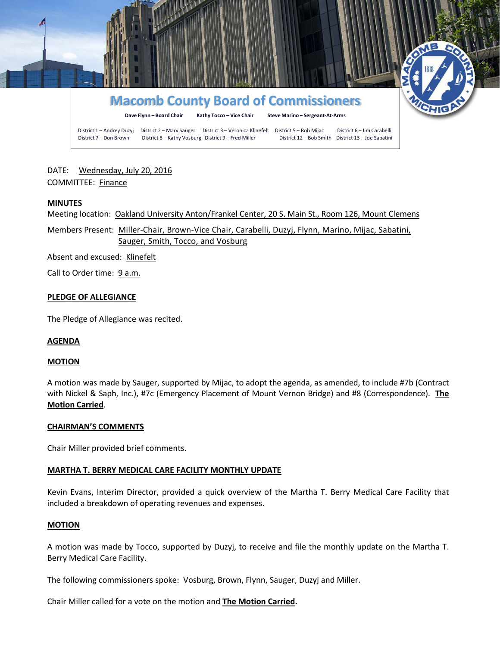

DATE: Wednesday, July 20, 2016 COMMITTEE: Finance

#### **MINUTES**

Meeting location: Oakland University Anton/Frankel Center, 20 S. Main St., Room 126, Mount Clemens

Members Present: Miller-Chair, Brown-Vice Chair, Carabelli, Duzyj, Flynn, Marino, Mijac, Sabatini, Sauger, Smith, Tocco, and Vosburg

Absent and excused: Klinefelt

Call to Order time: 9 a.m.

#### **PLEDGE OF ALLEGIANCE**

The Pledge of Allegiance was recited.

### **AGENDA**

#### **MOTION**

A motion was made by Sauger, supported by Mijac, to adopt the agenda, as amended, to include #7b (Contract with Nickel & Saph, Inc.), #7c (Emergency Placement of Mount Vernon Bridge) and #8 (Correspondence). **The Motion Carried**.

#### **CHAIRMAN'S COMMENTS**

Chair Miller provided brief comments.

### **MARTHA T. BERRY MEDICAL CARE FACILITY MONTHLY UPDATE**

Kevin Evans, Interim Director, provided a quick overview of the Martha T. Berry Medical Care Facility that included a breakdown of operating revenues and expenses.

#### **MOTION**

A motion was made by Tocco, supported by Duzyj, to receive and file the monthly update on the Martha T. Berry Medical Care Facility.

The following commissioners spoke: Vosburg, Brown, Flynn, Sauger, Duzyj and Miller.

Chair Miller called for a vote on the motion and **The Motion Carried.**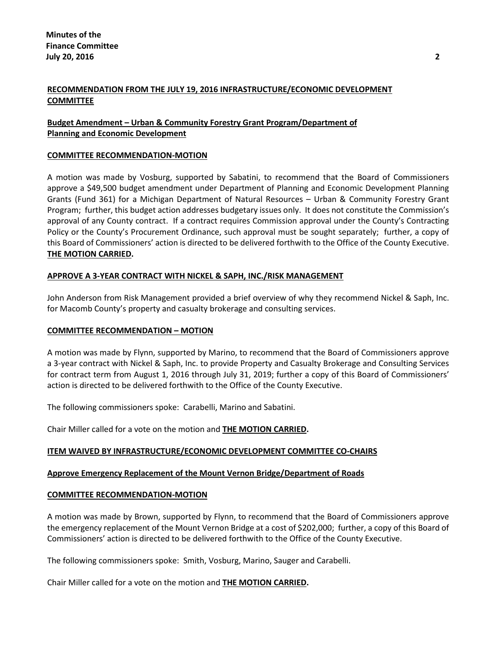# **RECOMMENDATION FROM THE JULY 19, 2016 INFRASTRUCTURE/ECONOMIC DEVELOPMENT COMMITTEE**

# **Budget Amendment – Urban & Community Forestry Grant Program/Department of Planning and Economic Development**

## **COMMITTEE RECOMMENDATION-MOTION**

A motion was made by Vosburg, supported by Sabatini, to recommend that the Board of Commissioners approve a \$49,500 budget amendment under Department of Planning and Economic Development Planning Grants (Fund 361) for a Michigan Department of Natural Resources – Urban & Community Forestry Grant Program; further, this budget action addresses budgetary issues only. It does not constitute the Commission's approval of any County contract. If a contract requires Commission approval under the County's Contracting Policy or the County's Procurement Ordinance, such approval must be sought separately; further, a copy of this Board of Commissioners' action is directed to be delivered forthwith to the Office of the County Executive. **THE MOTION CARRIED.**

## **APPROVE A 3-YEAR CONTRACT WITH NICKEL & SAPH, INC./RISK MANAGEMENT**

John Anderson from Risk Management provided a brief overview of why they recommend Nickel & Saph, Inc. for Macomb County's property and casualty brokerage and consulting services.

#### **COMMITTEE RECOMMENDATION – MOTION**

A motion was made by Flynn, supported by Marino, to recommend that the Board of Commissioners approve a 3-year contract with Nickel & Saph, Inc. to provide Property and Casualty Brokerage and Consulting Services for contract term from August 1, 2016 through July 31, 2019; further a copy of this Board of Commissioners' action is directed to be delivered forthwith to the Office of the County Executive.

The following commissioners spoke: Carabelli, Marino and Sabatini.

Chair Miller called for a vote on the motion and **THE MOTION CARRIED.**

## **ITEM WAIVED BY INFRASTRUCTURE/ECONOMIC DEVELOPMENT COMMITTEE CO-CHAIRS**

## **Approve Emergency Replacement of the Mount Vernon Bridge/Department of Roads**

#### **COMMITTEE RECOMMENDATION-MOTION**

A motion was made by Brown, supported by Flynn, to recommend that the Board of Commissioners approve the emergency replacement of the Mount Vernon Bridge at a cost of \$202,000; further, a copy of this Board of Commissioners' action is directed to be delivered forthwith to the Office of the County Executive.

The following commissioners spoke: Smith, Vosburg, Marino, Sauger and Carabelli.

Chair Miller called for a vote on the motion and **THE MOTION CARRIED.**